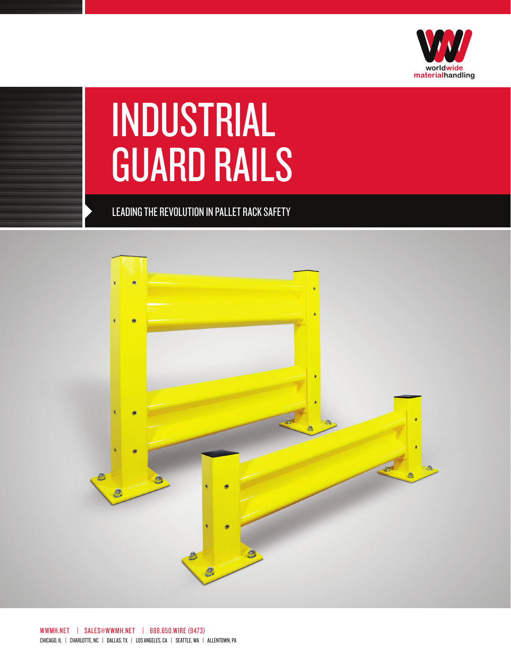

## INDUSTRIAL **GUARD RAILS**

LEADING THE REVOLUTION IN PALLET RACK SAFETY